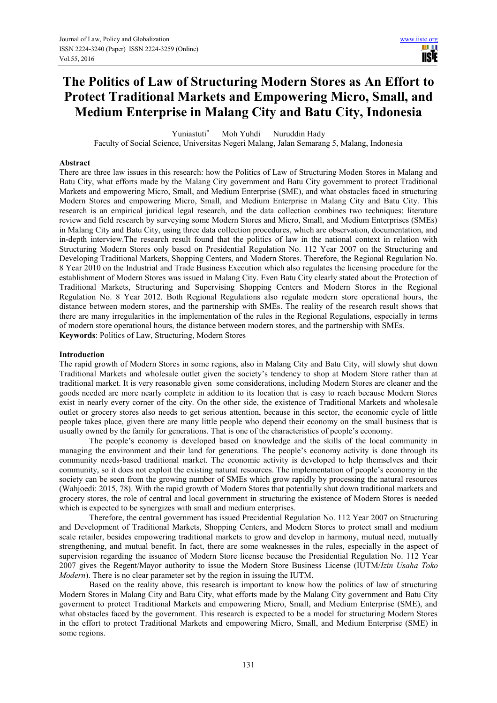# **The Politics of Law of Structuring Modern Stores as An Effort to Protect Traditional Markets and Empowering Micro, Small, and Medium Enterprise in Malang City and Batu City, Indonesia**

Yuniastuti\* Moh Yuhdi Nuruddin Hady

Faculty of Social Science, Universitas Negeri Malang, Jalan Semarang 5, Malang, Indonesia

# **Abstract**

There are three law issues in this research: how the Politics of Law of Structuring Moden Stores in Malang and Batu City, what efforts made by the Malang City government and Batu City government to protect Traditional Markets and empowering Micro, Small, and Medium Enterprise (SME), and what obstacles faced in structuring Modern Stores and empowering Micro, Small, and Medium Enterprise in Malang City and Batu City. This research is an empirical juridical legal research, and the data collection combines two techniques: literature review and field research by surveying some Modern Stores and Micro, Small, and Medium Enterprises (SMEs) in Malang City and Batu City, using three data collection procedures, which are observation, documentation, and in-depth interview.The research result found that the politics of law in the national context in relation with Structuring Modern Stores only based on Presidential Regulation No. 112 Year 2007 on the Structuring and Developing Traditional Markets, Shopping Centers, and Modern Stores. Therefore, the Regional Regulation No. 8 Year 2010 on the Industrial and Trade Business Execution which also regulates the licensing procedure for the establishment of Modern Stores was issued in Malang City. Even Batu City clearly stated about the Protection of Traditional Markets, Structuring and Supervising Shopping Centers and Modern Stores in the Regional Regulation No. 8 Year 2012. Both Regional Regulations also regulate modern store operational hours, the distance between modern stores, and the partnership with SMEs. The reality of the research result shows that there are many irregularities in the implementation of the rules in the Regional Regulations, especially in terms of modern store operational hours, the distance between modern stores, and the partnership with SMEs. **Keywords**: Politics of Law, Structuring, Modern Stores

## **Introduction**

The rapid growth of Modern Stores in some regions, also in Malang City and Batu City, will slowly shut down Traditional Markets and wholesale outlet given the society's tendency to shop at Modern Store rather than at traditional market. It is very reasonable given some considerations, including Modern Stores are cleaner and the goods needed are more nearly complete in addition to its location that is easy to reach because Modern Stores exist in nearly every corner of the city. On the other side, the existence of Traditional Markets and wholesale outlet or grocery stores also needs to get serious attention, because in this sector, the economic cycle of little people takes place, given there are many little people who depend their economy on the small business that is usually owned by the family for generations. That is one of the characteristics of people's economy.

The people's economy is developed based on knowledge and the skills of the local community in managing the environment and their land for generations. The people's economy activity is done through its community needs-based traditional market. The economic activity is developed to help themselves and their community, so it does not exploit the existing natural resources. The implementation of people's economy in the society can be seen from the growing number of SMEs which grow rapidly by processing the natural resources (Wahjoedi: 2015, 78). With the rapid growth of Modern Stores that potentially shut down traditional markets and grocery stores, the role of central and local government in structuring the existence of Modern Stores is needed which is expected to be synergizes with small and medium enterprises.

Therefore, the central government has issued Precidential Regulation No. 112 Year 2007 on Structuring and Development of Traditional Markets, Shopping Centers, and Modern Stores to protect small and medium scale retailer, besides empowering traditional markets to grow and develop in harmony, mutual need, mutually strengthening, and mutual benefit. In fact, there are some weaknesses in the rules, especially in the aspect of supervision regarding the issuance of Modern Store license because the Presidential Regulation No. 112 Year 2007 gives the Regent/Mayor authority to issue the Modern Store Business License (IUTM/*Izin Usaha Toko Modern*). There is no clear parameter set by the region in issuing the IUTM.

Based on the reality above, this research is important to know how the politics of law of structuring Modern Stores in Malang City and Batu City, what efforts made by the Malang City government and Batu City goverment to protect Traditional Markets and empowering Micro, Small, and Medium Enterprise (SME), and what obstacles faced by the government. This research is expected to be a model for structuring Modern Stores in the effort to protect Traditional Markets and empowering Micro, Small, and Medium Enterprise (SME) in some regions.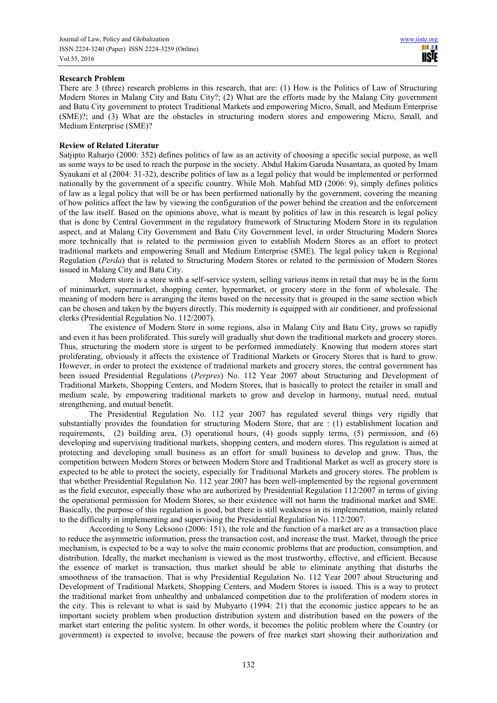# **Research Problem**

There are 3 (three) research problems in this research, that are: (1) How is the Politics of Law of Structuring Modern Stores in Malang City and Batu City?; (2) What are the efforts made by the Malang City government and Batu City government to protect Traditional Markets and empowering Micro, Small, and Medium Enterprise (SME)?; and (3) What are the obstacles in structuring modern stores and empowering Micro, Small, and Medium Enterprise (SME)?

# **Review of Related Literatur**

Satjipto Raharjo (2000: 352) defines politics of law as an activity of choosing a specific social purpose, as well as some ways to be used to reach the purpose in the society. Abdul Hakim Garuda Nusantara, as quoted by Imam Syaukani et al (2004: 31-32), describe politics of law as a legal policy that would be implemented or performed nationally by the government of a specific country. While Moh. Mahfud MD (2006: 9), simply defines politics of law as a legal policy that will be or has been performed nationally by the government, covering the meaning of how politics affect the law by viewing the configuration of the power behind the creation and the enforcement of the law itself. Based on the opinions above, what is meant by politics of law in this research is legal policy that is done by Central Government in the regulatory framework of Structuring Modern Store in its regulation aspect, and at Malang City Government and Batu City Government level, in order Structuring Modern Stores more technically that is related to the permission given to establish Modern Stores as an effort to protect traditional markets and empowering Small and Medium Enterprise (SME). The legal policy taken is Regional Regulation (*Perda*) that is related to Structuring Modern Stores or related to the permission of Modern Stores issued in Malang City and Batu City.

Modern store is a store with a self-service system, selling various items in retail that may be in the form of minimarket, supermarket, shopping center, hypermarket, or grocery store in the form of wholesale. The meaning of modern here is arranging the items based on the necessity that is grouped in the same section which can be chosen and taken by the buyers directly. This modernity is equipped with air conditioner, and professional clerks (Presidential Regulation No. 112/2007).

The existence of Modern Store in some regions, also in Malang City and Batu City, grows so rapidly and even it has been proliferated. This surely will gradually shut down the traditional markets and grocery stores. Thus, structuring the modern store is urgent to be performed immediately. Knowing that modern stores start proliferating, obviously it affects the existence of Traditional Markets or Grocery Stores that is hard to grow. However, in order to protect the existence of traditional markets and grocery stores, the central government has been issued Presidential Regulations (*Perpres*) No. 112 Year 2007 about Structuring and Development of Traditional Markets, Shopping Centers, and Modern Stores, that is basically to protect the retailer in small and medium scale, by empowering traditional markets to grow and develop in harmony, mutual need, mutual strengthening, and mutual benefit.

The Presidential Regulation No. 112 year 2007 has regulated several things very rigidly that substantially provides the foundation for structuring Modern Store, that are : (1) establishment location and requirements, (2) building area, (3) operational hours, (4) goods supply terms, (5) permission, and (6) developing and supervising traditional markets, shopping centers, and modern stores. This regulation is aimed at protecting and developing small business as an effort for small business to develop and grow. Thus, the competition between Modern Stores or between Modern Store and Traditional Market as well as grocery store is expected to be able to protect the society, especially for Traditional Markets and grocery stores. The problem is that whether Presidential Regulation No. 112 year 2007 has been well-implemented by the regional government as the field executor, especially those who are authorized by Presidential Regulation 112/2007 in terms of giving the operational permission for Modern Stores, so their existence will not harm the traditional market and SME. Basically, the purpose of this regulation is good, but there is still weakness in its implementation, mainly related to the difficulty in implementing and supervising the Presidential Regulation No. 112/2007.

According to Sony Leksono (2006: 151), the role and the function of a market are as a transaction place to reduce the asymmetric information, press the transaction cost, and increase the trust*.* Market, through the price mechanism, is expected to be a way to solve the main economic problems that are production, consumption, and distribution. Ideally, the market mechanism is viewed as the most trustworthy, effective, and efficient. Because the essence of market is transaction, thus market should be able to eliminate anything that disturbs the smoothness of the transaction. That is why Presidential Regulation No. 112 Year 2007 about Structuring and Development of Traditional Markets, Shopping Centers, and Modern Stores is issued. This is a way to protect the traditional market from unhealthy and unbalanced competition due to the proliferation of modern stores in the city. This is relevant to what is said by Mubyarto (1994: 21) that the economic justice appears to be an important society problem when production distribution system and distribution based on the powers of the market start entering the politic system. In other words, it becomes the politic problem where the Country (or government) is expected to involve, because the powers of free market start showing their authorization and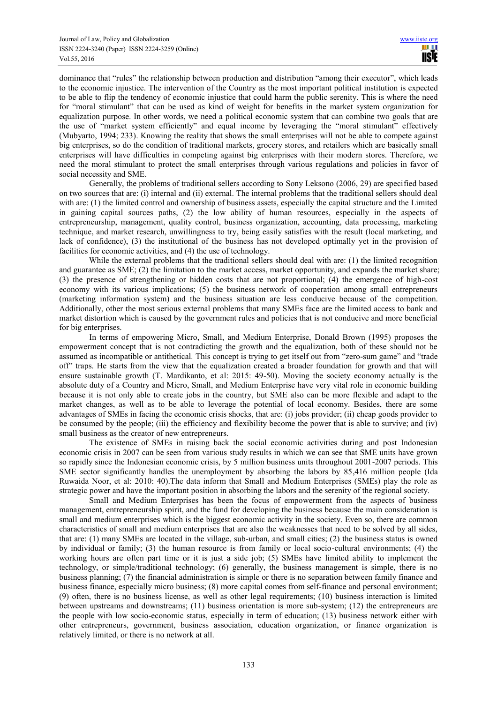dominance that "rules" the relationship between production and distribution "among their executor", which leads to the economic injustice. The intervention of the Country as the most important political institution is expected to be able to flip the tendency of economic injustice that could harm the public serenity. This is where the need for "moral stimulant" that can be used as kind of weight for benefits in the market system organization for equalization purpose. In other words, we need a political economic system that can combine two goals that are the use of "market system efficiently" and equal income by leveraging the "moral stimulant" effectively (Mubyarto, 1994; 233). Knowing the reality that shows the small enterprises will not be able to compete against big enterprises, so do the condition of traditional markets, grocery stores, and retailers which are basically small enterprises will have difficulties in competing against big enterprises with their modern stores. Therefore, we need the moral stimulant to protect the small enterprises through various regulations and policies in favor of social necessity and SME.

Generally, the problems of traditional sellers according to Sony Leksono (2006, 29) are specified based on two sources that are: (i) internal and (ii) external. The internal problems that the traditional sellers should deal with are: (1) the limited control and ownership of business assets, especially the capital structure and the Limited in gaining capital sources paths, (2) the low ability of human resources, especially in the aspects of entrepreneurship, management, quality control, business organization, accounting, data processing, marketing technique, and market research, unwillingness to try, being easily satisfies with the result (local marketing, and lack of confidence), (3) the institutional of the business has not developed optimally yet in the provision of facilities for economic activities, and (4) the use of technology.

While the external problems that the traditional sellers should deal with are: (1) the limited recognition and guarantee as SME; (2) the limitation to the market access, market opportunity, and expands the market share; (3) the presence of strengthening or hidden costs that are not proportional; (4) the emergence of high-cost economy with its various implications; (5) the business network of cooperation among small entrepreneurs (marketing information system) and the business situation are less conducive because of the competition. Additionally, other the most serious external problems that many SMEs face are the limited access to bank and market distortion which is caused by the government rules and policies that is not conducive and more beneficial for big enterprises.

In terms of empowering Micro, Small, and Medium Enterprise, Donald Brown (1995) proposes the empowerment concept that is not contradicting the growth and the equalization, both of these should not be assumed as incompatible or antithetical*.* This concept is trying to get itself out from "zero-sum game" and "trade off" traps. He starts from the view that the equalization created a broader foundation for growth and that will ensure sustainable growth (T. Mardikanto, et al: 2015: 49-50). Moving the society economy actually is the absolute duty of a Country and Micro, Small, and Medium Enterprise have very vital role in economic building because it is not only able to create jobs in the country, but SME also can be more flexible and adapt to the market changes, as well as to be able to leverage the potential of local economy. Besides, there are some advantages of SMEs in facing the economic crisis shocks, that are: (i) jobs provider; (ii) cheap goods provider to be consumed by the people; (iii) the efficiency and flexibility become the power that is able to survive; and (iv) small business as the creator of new entrepreneurs.

The existence of SMEs in raising back the social economic activities during and post Indonesian economic crisis in 2007 can be seen from various study results in which we can see that SME units have grown so rapidly since the Indonesian economic crisis, by 5 million business units throughout 2001-2007 periods. This SME sector significantly handles the unemployment by absorbing the labors by 85,416 million people (Ida Ruwaida Noor, et al: 2010: 40).The data inform that Small and Medium Enterprises (SMEs) play the role as strategic power and have the important position in absorbing the labors and the serenity of the regional society.

Small and Medium Enterprises has been the focus of empowerment from the aspects of business management, entrepreneurship spirit, and the fund for developing the business because the main consideration is small and medium enterprises which is the biggest economic activity in the society. Even so, there are common characteristics of small and medium enterprises that are also the weaknesses that need to be solved by all sides, that are: (1) many SMEs are located in the village, sub-urban, and small cities; (2) the business status is owned by individual or family; (3) the human resource is from family or local socio-cultural environments; (4) the working hours are often part time or it is just a side job; (5) SMEs have limited ability to implement the technology, or simple/traditional technology; (6) generally, the business management is simple, there is no business planning; (7) the financial administration is simple or there is no separation between family finance and business finance, especially micro business; (8) more capital comes from self-finance and personal environment; (9) often, there is no business license, as well as other legal requirements; (10) business interaction is limited between upstreams and downstreams; (11) business orientation is more sub-system; (12) the entrepreneurs are the people with low socio-economic status, especially in term of education; (13) business network either with other entrepreneurs, government, business association, education organization, or finance organization is relatively limited, or there is no network at all.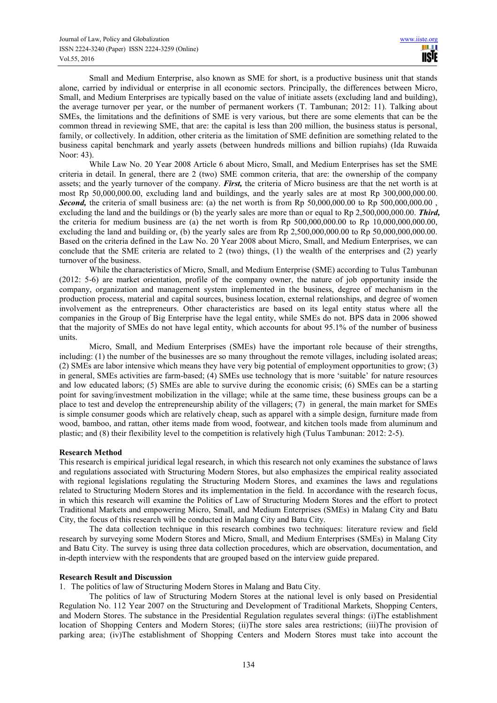Small and Medium Enterprise, also known as SME for short, is a productive business unit that stands alone, carried by individual or enterprise in all economic sectors. Principally, the differences between Micro, Small, and Medium Enterprises are typically based on the value of initiate assets (excluding land and building), the average turnover per year, or the number of permanent workers (T. Tambunan; 2012: 11). Talking about SMEs, the limitations and the definitions of SME is very various, but there are some elements that can be the common thread in reviewing SME, that are: the capital is less than 200 million, the business status is personal, family, or collectively. In addition, other criteria as the limitation of SME definition are something related to the business capital benchmark and yearly assets (between hundreds millions and billion rupiahs) (Ida Ruwaida Noor: 43).

While Law No. 20 Year 2008 Article 6 about Micro, Small, and Medium Enterprises has set the SME criteria in detail. In general, there are 2 (two) SME common criteria, that are: the ownership of the company assets; and the yearly turnover of the company. *First,* the criteria of Micro business are that the net worth is at most Rp 50,000,000.00, excluding land and buildings, and the yearly sales are at most Rp 300,000,000.00. **Second,** the criteria of small business are: (a) the net worth is from Rp 50,000,000.00 to Rp 500,000,000.00 , excluding the land and the buildings or (b) the yearly sales are more than or equal to Rp 2,500,000,000.00. *Third,*  the criteria for medium business are (a) the net worth is from Rp 500,000,000.00 to Rp 10,000,000,000.00, excluding the land and building or, (b) the yearly sales are from Rp 2,500,000,000.00 to Rp 50,000,000,000.00. Based on the criteria defined in the Law No. 20 Year 2008 about Micro, Small, and Medium Enterprises, we can conclude that the SME criteria are related to 2 (two) things, (1) the wealth of the enterprises and (2) yearly turnover of the business.

While the characteristics of Micro, Small, and Medium Enterprise (SME) according to Tulus Tambunan (2012: 5-6) are market orientation, profile of the company owner, the nature of job opportunity inside the company, organization and management system implemented in the business, degree of mechanism in the production process, material and capital sources, business location, external relationships, and degree of women involvement as the entrepreneurs. Other characteristics are based on its legal entity status where all the companies in the Group of Big Enterprise have the legal entity, while SMEs do not. BPS data in 2006 showed that the majority of SMEs do not have legal entity, which accounts for about 95.1% of the number of business units.

Micro, Small, and Medium Enterprises (SMEs) have the important role because of their strengths, including: (1) the number of the businesses are so many throughout the remote villages, including isolated areas; (2) SMEs are labor intensive which means they have very big potential of employment opportunities to grow; (3) in general, SMEs activities are farm-based; (4) SMEs use technology that is more 'suitable' for nature resources and low educated labors; (5) SMEs are able to survive during the economic crisis; (6) SMEs can be a starting point for saving/investment mobilization in the village; while at the same time, these business groups can be a place to test and develop the entrepreneurship ability of the villagers; (7) in general, the main market for SMEs is simple consumer goods which are relatively cheap, such as apparel with a simple design, furniture made from wood, bamboo, and rattan, other items made from wood, footwear, and kitchen tools made from aluminum and plastic; and (8) their flexibility level to the competition is relatively high (Tulus Tambunan: 2012: 2-5).

# **Research Method**

This research is empirical juridical legal research, in which this research not only examines the substance of laws and regulations associated with Structuring Modern Stores, but also emphasizes the empirical reality associated with regional legislations regulating the Structuring Modern Stores, and examines the laws and regulations related to Structuring Modern Stores and its implementation in the field. In accordance with the research focus, in which this research will examine the Politics of Law of Structuring Modern Stores and the effort to protect Traditional Markets and empowering Micro, Small, and Medium Enterprises (SMEs) in Malang City and Batu City, the focus of this research will be conducted in Malang City and Batu City.

The data collection technique in this research combines two techniques: literature review and field research by surveying some Modern Stores and Micro, Small, and Medium Enterprises (SMEs) in Malang City and Batu City. The survey is using three data collection procedures, which are observation, documentation, and in-depth interview with the respondents that are grouped based on the interview guide prepared.

#### **Research Result and Discussion**

1. The politics of law of Structuring Modern Stores in Malang and Batu City.

The politics of law of Structuring Modern Stores at the national level is only based on Presidential Regulation No. 112 Year 2007 on the Structuring and Development of Traditional Markets, Shopping Centers, and Modern Stores. The substance in the Presidential Regulation regulates several things: (i)The establishment location of Shopping Centers and Modern Stores; (ii)The store sales area restrictions; (iii)The provision of parking area; (iv)The establishment of Shopping Centers and Modern Stores must take into account the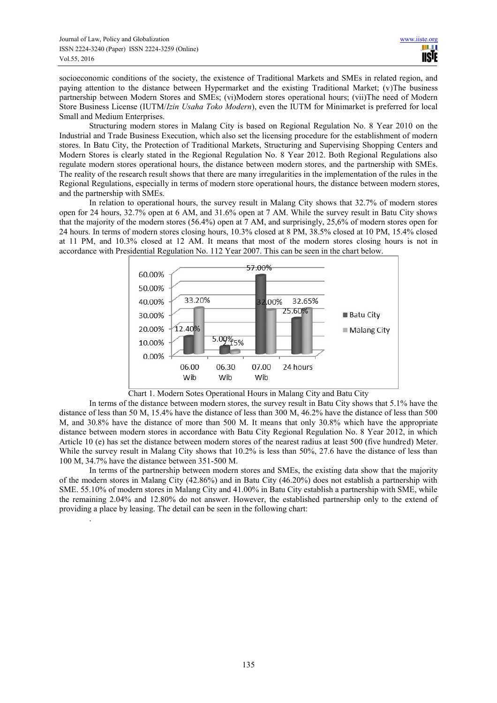.

socioeconomic conditions of the society, the existence of Traditional Markets and SMEs in related region, and paying attention to the distance between Hypermarket and the existing Traditional Market; (v)The business partnership between Modern Stores and SMEs; (vi)Modern stores operational hours; (vii)The need of Modern Store Business License (IUTM/*Izin Usaha Toko Modern*), even the IUTM for Minimarket is preferred for local Small and Medium Enterprises.

Structuring modern stores in Malang City is based on Regional Regulation No. 8 Year 2010 on the Industrial and Trade Business Execution, which also set the licensing procedure for the establishment of modern stores. In Batu City, the Protection of Traditional Markets, Structuring and Supervising Shopping Centers and Modern Stores is clearly stated in the Regional Regulation No. 8 Year 2012. Both Regional Regulations also regulate modern stores operational hours, the distance between modern stores, and the partnership with SMEs. The reality of the research result shows that there are many irregularities in the implementation of the rules in the Regional Regulations, especially in terms of modern store operational hours, the distance between modern stores, and the partnership with SMEs.

In relation to operational hours, the survey result in Malang City shows that 32.7% of modern stores open for 24 hours, 32.7% open at 6 AM, and 31.6% open at 7 AM. While the survey result in Batu City shows that the majority of the modern stores (56.4%) open at 7 AM, and surprisingly, 25,6% of modern stores open for 24 hours. In terms of modern stores closing hours, 10.3% closed at 8 PM, 38.5% closed at 10 PM, 15.4% closed at 11 PM, and 10.3% closed at 12 AM. It means that most of the modern stores closing hours is not in accordance with Presidential Regulation No. 112 Year 2007. This can be seen in the chart below.



Chart 1. Modern Sotes Operational Hours in Malang City and Batu City

In terms of the distance between modern stores, the survey result in Batu City shows that 5.1% have the distance of less than 50 M, 15.4% have the distance of less than 300 M, 46.2% have the distance of less than 500 M, and 30.8% have the distance of more than 500 M. It means that only 30.8% which have the appropriate distance between modern stores in accordance with Batu City Regional Regulation No. 8 Year 2012, in which Article 10 (e) has set the distance between modern stores of the nearest radius at least 500 (five hundred) Meter. While the survey result in Malang City shows that  $10.2\%$  is less than 50%, 27.6 have the distance of less than 100 M, 34.7% have the distance between 351-500 M.

In terms of the partnership between modern stores and SMEs, the existing data show that the majority of the modern stores in Malang City (42.86%) and in Batu City (46.20%) does not establish a partnership with SME. 55.10% of modern stores in Malang City and 41.00% in Batu City establish a partnership with SME, while the remaining 2.04% and 12.80% do not answer. However, the established partnership only to the extend of providing a place by leasing. The detail can be seen in the following chart: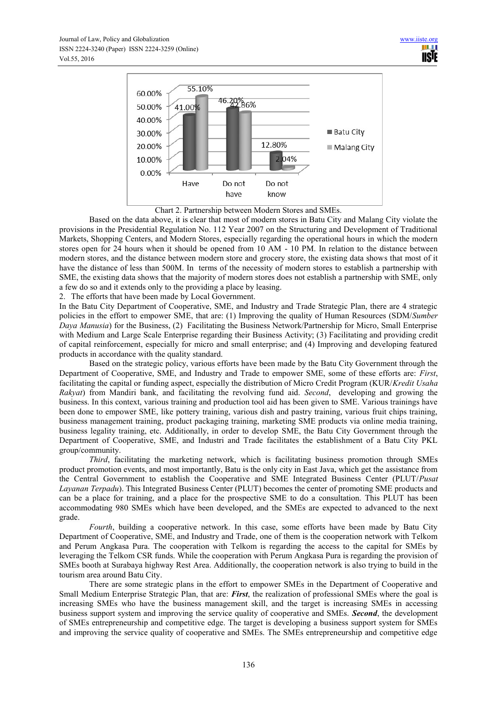

Chart 2. Partnership between Modern Stores and SMEs.

Based on the data above, it is clear that most of modern stores in Batu City and Malang City violate the provisions in the Presidential Regulation No. 112 Year 2007 on the Structuring and Development of Traditional Markets, Shopping Centers, and Modern Stores, especially regarding the operational hours in which the modern stores open for 24 hours when it should be opened from 10 AM - 10 PM. In relation to the distance between modern stores, and the distance between modern store and grocery store, the existing data shows that most of it have the distance of less than 500M. In terms of the necessity of modern stores to establish a partnership with SME, the existing data shows that the majority of modern stores does not establish a partnership with SME, only a few do so and it extends only to the providing a place by leasing.

2. The efforts that have been made by Local Government.

In the Batu City Department of Cooperative, SME, and Industry and Trade Strategic Plan, there are 4 strategic policies in the effort to empower SME, that are: (1) Improving the quality of Human Resources (SDM/*Sumber Daya Manusia*) for the Business, (2) Facilitating the Business Network/Partnership for Micro, Small Enterprise with Medium and Large Scale Enterprise regarding their Business Activity; (3) Facilitating and providing credit of capital reinforcement, especially for micro and small enterprise; and (4) Improving and developing featured products in accordance with the quality standard.

Based on the strategic policy, various efforts have been made by the Batu City Government through the Department of Cooperative, SME, and Industry and Trade to empower SME, some of these efforts are: *First*, facilitating the capital or funding aspect, especially the distribution of Micro Credit Program (KUR/*Kredit Usaha Rakyat*) from Mandiri bank, and facilitating the revolving fund aid. *Second*, developing and growing the business. In this context, various training and production tool aid has been given to SME. Various trainings have been done to empower SME, like pottery training, various dish and pastry training, various fruit chips training, business management training, product packaging training, marketing SME products via online media training, business legality training, etc. Additionally, in order to develop SME, the Batu City Government through the Department of Cooperative, SME, and Industri and Trade facilitates the establishment of a Batu City PKL group/community.

*Third*, facilitating the marketing network, which is facilitating business promotion through SMEs product promotion events, and most importantly, Batu is the only city in East Java, which get the assistance from the Central Government to establish the Cooperative and SME Integrated Business Center (PLUT/*Pusat Layanan Terpadu*). This Integrated Business Center (PLUT) becomes the center of promoting SME products and can be a place for training, and a place for the prospective SME to do a consultation. This PLUT has been accommodating 980 SMEs which have been developed, and the SMEs are expected to advanced to the next grade.

*Fourth*, building a cooperative network. In this case, some efforts have been made by Batu City Department of Cooperative, SME, and Industry and Trade, one of them is the cooperation network with Telkom and Perum Angkasa Pura. The cooperation with Telkom is regarding the access to the capital for SMEs by leveraging the Telkom CSR funds. While the cooperation with Perum Angkasa Pura is regarding the provision of SMEs booth at Surabaya highway Rest Area. Additionally, the cooperation network is also trying to build in the tourism area around Batu City.

There are some strategic plans in the effort to empower SMEs in the Department of Cooperative and Small Medium Enterprise Strategic Plan, that are: *First*, the realization of professional SMEs where the goal is increasing SMEs who have the business management skill, and the target is increasing SMEs in accessing business support system and improving the service quality of cooperative and SMEs. *Second*, the development of SMEs entrepreneurship and competitive edge. The target is developing a business support system for SMEs and improving the service quality of cooperative and SMEs. The SMEs entrepreneurship and competitive edge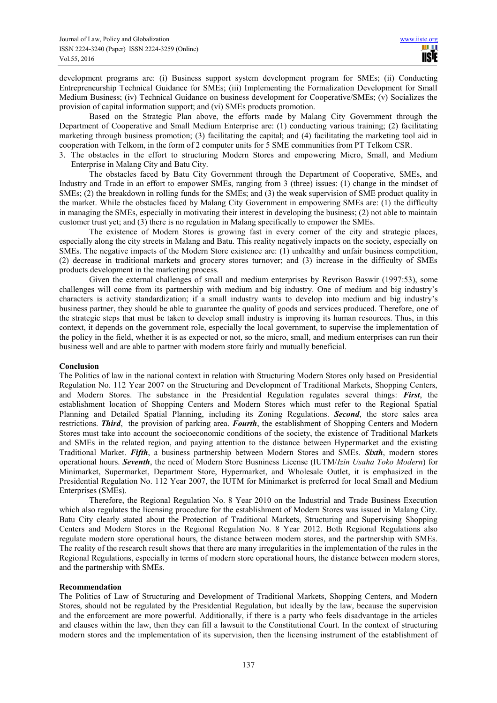development programs are: (i) Business support system development program for SMEs; (ii) Conducting Entrepreneurship Technical Guidance for SMEs; (iii) Implementing the Formalization Development for Small Medium Business; (iv) Technical Guidance on business development for Cooperative/SMEs; (v) Socializes the provision of capital information support; and (vi) SMEs products promotion.

Based on the Strategic Plan above, the efforts made by Malang City Government through the Department of Cooperative and Small Medium Enterprise are: (1) conducting various training; (2) facilitating marketing through business promotion; (3) facilitating the capital; and (4) facilitating the marketing tool aid in cooperation with Telkom, in the form of 2 computer units for 5 SME communities from PT Telkom CSR.

3. The obstacles in the effort to structuring Modern Stores and empowering Micro, Small, and Medium Enterprise in Malang City and Batu City.

The obstacles faced by Batu City Government through the Department of Cooperative, SMEs, and Industry and Trade in an effort to empower SMEs, ranging from 3 (three) issues: (1) change in the mindset of SMEs; (2) the breakdown in rolling funds for the SMEs; and (3) the weak supervision of SME product quality in the market. While the obstacles faced by Malang City Government in empowering SMEs are: (1) the difficulty in managing the SMEs, especially in motivating their interest in developing the business; (2) not able to maintain customer trust yet; and (3) there is no regulation in Malang specifically to empower the SMEs.

The existence of Modern Stores is growing fast in every corner of the city and strategic places, especially along the city streets in Malang and Batu. This reality negatively impacts on the society, especially on SMEs. The negative impacts of the Modern Store existence are: (1) unhealthy and unfair business competition, (2) decrease in traditional markets and grocery stores turnover; and (3) increase in the difficulty of SMEs products development in the marketing process.

Given the external challenges of small and medium enterprises by Revrison Baswir (1997:53), some challenges will come from its partnership with medium and big industry. One of medium and big industry's characters is activity standardization; if a small industry wants to develop into medium and big industry's business partner, they should be able to guarantee the quality of goods and services produced. Therefore, one of the strategic steps that must be taken to develop small industry is improving its human resources. Thus, in this context, it depends on the government role, especially the local government, to supervise the implementation of the policy in the field, whether it is as expected or not, so the micro, small, and medium enterprises can run their business well and are able to partner with modern store fairly and mutually beneficial.

# **Conclusion**

The Politics of law in the national context in relation with Structuring Modern Stores only based on Presidential Regulation No. 112 Year 2007 on the Structuring and Development of Traditional Markets, Shopping Centers, and Modern Stores. The substance in the Presidential Regulation regulates several things: *First*, the establishment location of Shopping Centers and Modern Stores which must refer to the Regional Spatial Planning and Detailed Spatial Planning, including its Zoning Regulations. *Second*, the store sales area restrictions. *Third*, the provision of parking area. *Fourth*, the establishment of Shopping Centers and Modern Stores must take into account the socioeconomic conditions of the society, the existence of Traditional Markets and SMEs in the related region, and paying attention to the distance between Hypermarket and the existing Traditional Market. *Fifth*, a business partnership between Modern Stores and SMEs. *Sixth*, modern stores operational hours. *Seventh*, the need of Modern Store Busniness License (IUTM/*Izin Usaha Toko Modern*) for Minimarket, Supermarket, Department Store, Hypermarket, and Wholesale Outlet, it is emphasized in the Presidential Regulation No. 112 Year 2007, the IUTM for Minimarket is preferred for local Small and Medium Enterprises (SMEs).

Therefore, the Regional Regulation No. 8 Year 2010 on the Industrial and Trade Business Execution which also regulates the licensing procedure for the establishment of Modern Stores was issued in Malang City. Batu City clearly stated about the Protection of Traditional Markets, Structuring and Supervising Shopping Centers and Modern Stores in the Regional Regulation No. 8 Year 2012. Both Regional Regulations also regulate modern store operational hours, the distance between modern stores, and the partnership with SMEs. The reality of the research result shows that there are many irregularities in the implementation of the rules in the Regional Regulations, especially in terms of modern store operational hours, the distance between modern stores, and the partnership with SMEs.

#### **Recommendation**

The Politics of Law of Structuring and Development of Traditional Markets, Shopping Centers, and Modern Stores, should not be regulated by the Presidential Regulation, but ideally by the law, because the supervision and the enforcement are more powerful. Additionally, if there is a party who feels disadvantage in the articles and clauses within the law, then they can fill a lawsuit to the Constitutional Court. In the context of structuring modern stores and the implementation of its supervision, then the licensing instrument of the establishment of